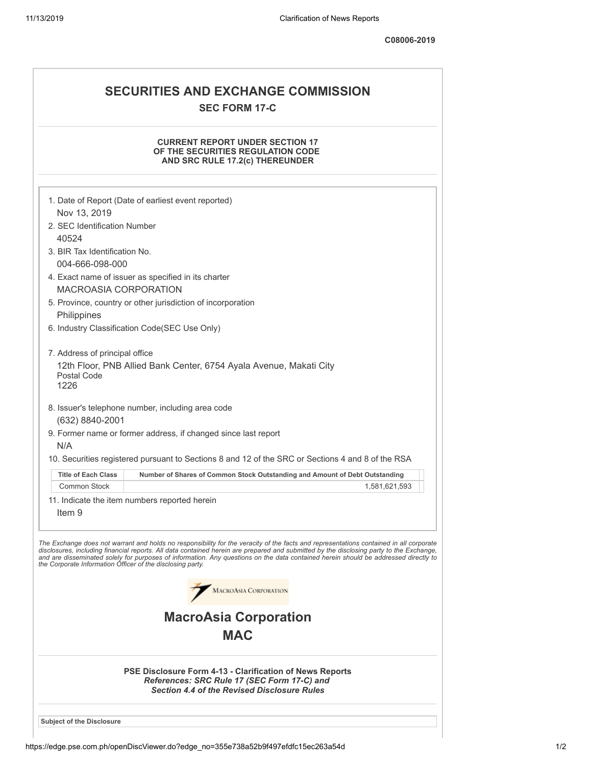## **SEC FORM 17-C**

## **CURRENT REPORT UNDER SECTION 17 OF THE SECURITIES REGULATION CODE AND SRC RULE 17.2(c) THEREUNDER**

| AND SRC RULE 17.2(C) IHEREUNDER                             |                                                                                                                                                                                                                                                                                                                                                                                                                          |  |  |
|-------------------------------------------------------------|--------------------------------------------------------------------------------------------------------------------------------------------------------------------------------------------------------------------------------------------------------------------------------------------------------------------------------------------------------------------------------------------------------------------------|--|--|
|                                                             |                                                                                                                                                                                                                                                                                                                                                                                                                          |  |  |
| 1. Date of Report (Date of earliest event reported)         |                                                                                                                                                                                                                                                                                                                                                                                                                          |  |  |
| Nov 13, 2019<br>2. SEC Identification Number                |                                                                                                                                                                                                                                                                                                                                                                                                                          |  |  |
| 40524                                                       |                                                                                                                                                                                                                                                                                                                                                                                                                          |  |  |
| 3. BIR Tax Identification No.                               |                                                                                                                                                                                                                                                                                                                                                                                                                          |  |  |
| 004-666-098-000                                             |                                                                                                                                                                                                                                                                                                                                                                                                                          |  |  |
|                                                             | 4. Exact name of issuer as specified in its charter                                                                                                                                                                                                                                                                                                                                                                      |  |  |
| <b>MACROASIA CORPORATION</b>                                |                                                                                                                                                                                                                                                                                                                                                                                                                          |  |  |
| 5. Province, country or other jurisdiction of incorporation |                                                                                                                                                                                                                                                                                                                                                                                                                          |  |  |
| Philippines                                                 |                                                                                                                                                                                                                                                                                                                                                                                                                          |  |  |
|                                                             | 6. Industry Classification Code(SEC Use Only)                                                                                                                                                                                                                                                                                                                                                                            |  |  |
| 7. Address of principal office                              |                                                                                                                                                                                                                                                                                                                                                                                                                          |  |  |
|                                                             | 12th Floor, PNB Allied Bank Center, 6754 Ayala Avenue, Makati City                                                                                                                                                                                                                                                                                                                                                       |  |  |
| Postal Code<br>1226                                         |                                                                                                                                                                                                                                                                                                                                                                                                                          |  |  |
|                                                             | 8. Issuer's telephone number, including area code                                                                                                                                                                                                                                                                                                                                                                        |  |  |
| (632) 8840-2001                                             |                                                                                                                                                                                                                                                                                                                                                                                                                          |  |  |
|                                                             | 9. Former name or former address, if changed since last report                                                                                                                                                                                                                                                                                                                                                           |  |  |
| N/A                                                         |                                                                                                                                                                                                                                                                                                                                                                                                                          |  |  |
|                                                             | 10. Securities registered pursuant to Sections 8 and 12 of the SRC or Sections 4 and 8 of the RSA                                                                                                                                                                                                                                                                                                                        |  |  |
| <b>Title of Each Class</b>                                  | Number of Shares of Common Stock Outstanding and Amount of Debt Outstanding                                                                                                                                                                                                                                                                                                                                              |  |  |
| <b>Common Stock</b>                                         | 1,581,621,593                                                                                                                                                                                                                                                                                                                                                                                                            |  |  |
|                                                             | 11. Indicate the item numbers reported herein                                                                                                                                                                                                                                                                                                                                                                            |  |  |
| Item 9                                                      |                                                                                                                                                                                                                                                                                                                                                                                                                          |  |  |
|                                                             |                                                                                                                                                                                                                                                                                                                                                                                                                          |  |  |
| the Corporate Information Officer of the disclosing party.  | The Exchange does not warrant and holds no responsibility for the veracity of the facts and representations contained in all corporate<br>disclosures, including financial reports. All data contained herein are prepared and submitted by the disclosing party to the Exchange,<br>and are disseminated solely for purposes of information. Any questions on the data contained herein should be addressed directly to |  |  |
|                                                             | MACROASIA CORPORATION                                                                                                                                                                                                                                                                                                                                                                                                    |  |  |
|                                                             | <b>MacroAsia Corporation</b>                                                                                                                                                                                                                                                                                                                                                                                             |  |  |
| <b>MAC</b>                                                  |                                                                                                                                                                                                                                                                                                                                                                                                                          |  |  |
|                                                             |                                                                                                                                                                                                                                                                                                                                                                                                                          |  |  |
|                                                             | <b>PSE Disclosure Form 4-13 - Clarification of News Reports</b><br>References: SRC Rule 17 (SEC Form 17-C) and<br><b>Section 4.4 of the Revised Disclosure Rules</b>                                                                                                                                                                                                                                                     |  |  |
| <b>Subject of the Disclosure</b>                            |                                                                                                                                                                                                                                                                                                                                                                                                                          |  |  |